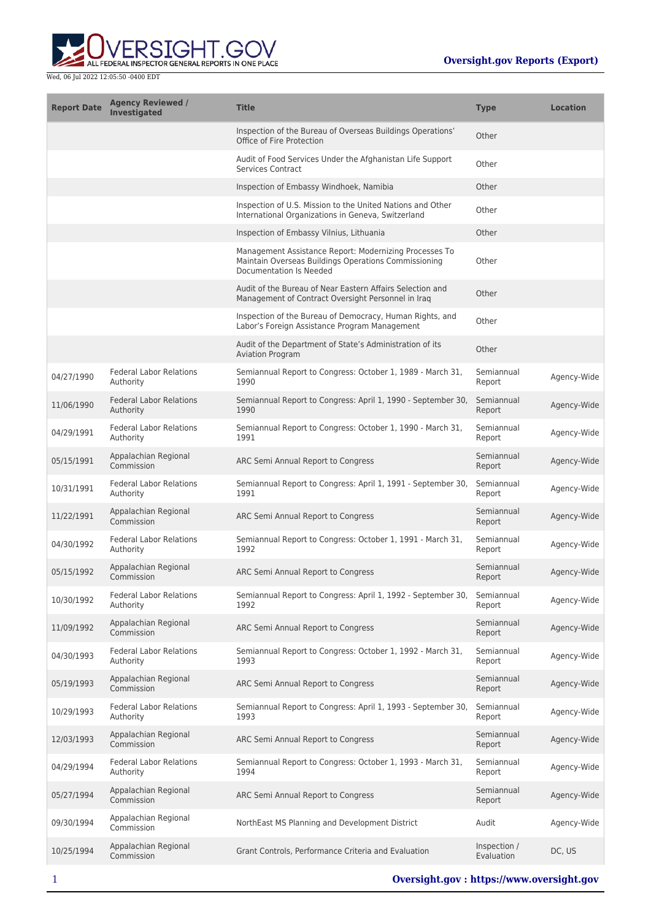

| <b>Report Date</b> | <b>Agency Reviewed /</b><br><b>Investigated</b> | <b>Title</b>                                                                                                                              | <b>Type</b>                | <b>Location</b> |
|--------------------|-------------------------------------------------|-------------------------------------------------------------------------------------------------------------------------------------------|----------------------------|-----------------|
|                    |                                                 | Inspection of the Bureau of Overseas Buildings Operations'<br>Office of Fire Protection                                                   | Other                      |                 |
|                    |                                                 | Audit of Food Services Under the Afghanistan Life Support<br><b>Services Contract</b>                                                     | Other                      |                 |
|                    |                                                 | Inspection of Embassy Windhoek, Namibia                                                                                                   | Other                      |                 |
|                    |                                                 | Inspection of U.S. Mission to the United Nations and Other<br>International Organizations in Geneva, Switzerland                          | Other                      |                 |
|                    |                                                 | Inspection of Embassy Vilnius, Lithuania                                                                                                  | Other                      |                 |
|                    |                                                 | Management Assistance Report: Modernizing Processes To<br>Maintain Overseas Buildings Operations Commissioning<br>Documentation Is Needed | Other                      |                 |
|                    |                                                 | Audit of the Bureau of Near Eastern Affairs Selection and<br>Management of Contract Oversight Personnel in Iraq                           | Other                      |                 |
|                    |                                                 | Inspection of the Bureau of Democracy, Human Rights, and<br>Labor's Foreign Assistance Program Management                                 | Other                      |                 |
|                    |                                                 | Audit of the Department of State's Administration of its<br><b>Aviation Program</b>                                                       | Other                      |                 |
| 04/27/1990         | <b>Federal Labor Relations</b><br>Authority     | Semiannual Report to Congress: October 1, 1989 - March 31,<br>1990                                                                        | Semiannual<br>Report       | Agency-Wide     |
| 11/06/1990         | <b>Federal Labor Relations</b><br>Authority     | Semiannual Report to Congress: April 1, 1990 - September 30,<br>1990                                                                      | Semiannual<br>Report       | Agency-Wide     |
| 04/29/1991         | <b>Federal Labor Relations</b><br>Authority     | Semiannual Report to Congress: October 1, 1990 - March 31,<br>1991                                                                        | Semiannual<br>Report       | Agency-Wide     |
| 05/15/1991         | Appalachian Regional<br>Commission              | ARC Semi Annual Report to Congress                                                                                                        | Semiannual<br>Report       | Agency-Wide     |
| 10/31/1991         | <b>Federal Labor Relations</b><br>Authority     | Semiannual Report to Congress: April 1, 1991 - September 30,<br>1991                                                                      | Semiannual<br>Report       | Agency-Wide     |
| 11/22/1991         | Appalachian Regional<br>Commission              | ARC Semi Annual Report to Congress                                                                                                        | Semiannual<br>Report       | Agency-Wide     |
| 04/30/1992         | <b>Federal Labor Relations</b><br>Authority     | Semiannual Report to Congress: October 1, 1991 - March 31,<br>1992                                                                        | Semiannual<br>Report       | Agency-Wide     |
| 05/15/1992         | Appalachian Regional<br>Commission              | ARC Semi Annual Report to Congress                                                                                                        | Semiannual<br>Report       | Agency-Wide     |
| 10/30/1992         | <b>Federal Labor Relations</b><br>Authority     | Semiannual Report to Congress: April 1, 1992 - September 30,<br>1992                                                                      | Semiannual<br>Report       | Agency-Wide     |
| 11/09/1992         | Appalachian Regional<br>Commission              | ARC Semi Annual Report to Congress                                                                                                        | Semiannual<br>Report       | Agency-Wide     |
| 04/30/1993         | <b>Federal Labor Relations</b><br>Authority     | Semiannual Report to Congress: October 1, 1992 - March 31,<br>1993                                                                        | Semiannual<br>Report       | Agency-Wide     |
| 05/19/1993         | Appalachian Regional<br>Commission              | ARC Semi Annual Report to Congress                                                                                                        | Semiannual<br>Report       | Agency-Wide     |
| 10/29/1993         | <b>Federal Labor Relations</b><br>Authority     | Semiannual Report to Congress: April 1, 1993 - September 30,<br>1993                                                                      | Semiannual<br>Report       | Agency-Wide     |
| 12/03/1993         | Appalachian Regional<br>Commission              | ARC Semi Annual Report to Congress                                                                                                        | Semiannual<br>Report       | Agency-Wide     |
| 04/29/1994         | <b>Federal Labor Relations</b><br>Authority     | Semiannual Report to Congress: October 1, 1993 - March 31,<br>1994                                                                        | Semiannual<br>Report       | Agency-Wide     |
| 05/27/1994         | Appalachian Regional<br>Commission              | ARC Semi Annual Report to Congress                                                                                                        | Semiannual<br>Report       | Agency-Wide     |
| 09/30/1994         | Appalachian Regional<br>Commission              | NorthEast MS Planning and Development District                                                                                            | Audit                      | Agency-Wide     |
| 10/25/1994         | Appalachian Regional<br>Commission              | Grant Controls, Performance Criteria and Evaluation                                                                                       | Inspection /<br>Evaluation | DC, US          |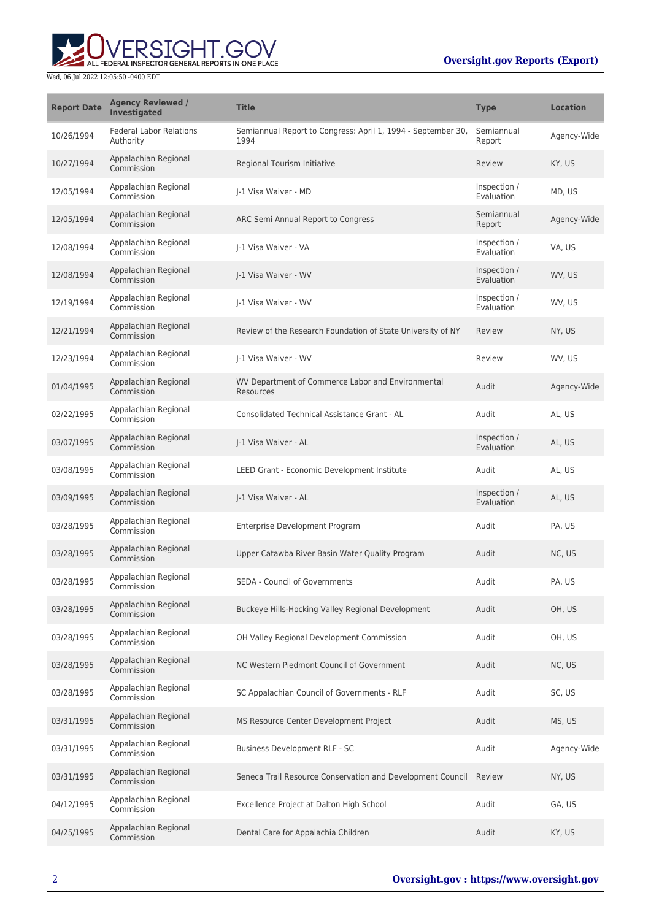# **Oversight.gov Reports (Export)**



| <b>Report Date</b> | <b>Agency Reviewed /</b><br>Investigated    | <b>Title</b>                                                         | <b>Type</b>                | <b>Location</b> |
|--------------------|---------------------------------------------|----------------------------------------------------------------------|----------------------------|-----------------|
| 10/26/1994         | <b>Federal Labor Relations</b><br>Authority | Semiannual Report to Congress: April 1, 1994 - September 30,<br>1994 | Semiannual<br>Report       | Agency-Wide     |
| 10/27/1994         | Appalachian Regional<br>Commission          | Regional Tourism Initiative                                          | Review                     | KY, US          |
| 12/05/1994         | Appalachian Regional<br>Commission          | I-1 Visa Waiver - MD                                                 | Inspection /<br>Evaluation | MD, US          |
| 12/05/1994         | Appalachian Regional<br>Commission          | ARC Semi Annual Report to Congress                                   | Semiannual<br>Report       | Agency-Wide     |
| 12/08/1994         | Appalachian Regional<br>Commission          | J-1 Visa Waiver - VA                                                 | Inspection /<br>Evaluation | VA, US          |
| 12/08/1994         | Appalachian Regional<br>Commission          | J-1 Visa Waiver - WV                                                 | Inspection /<br>Evaluation | WV, US          |
| 12/19/1994         | Appalachian Regional<br>Commission          | I-1 Visa Waiver - WV                                                 | Inspection /<br>Evaluation | WV, US          |
| 12/21/1994         | Appalachian Regional<br>Commission          | Review of the Research Foundation of State University of NY          | Review                     | NY, US          |
| 12/23/1994         | Appalachian Regional<br>Commission          | J-1 Visa Waiver - WV                                                 | Review                     | WV, US          |
| 01/04/1995         | Appalachian Regional<br>Commission          | WV Department of Commerce Labor and Environmental<br>Resources       | Audit                      | Agency-Wide     |
| 02/22/1995         | Appalachian Regional<br>Commission          | Consolidated Technical Assistance Grant - AL                         | Audit                      | AL, US          |
| 03/07/1995         | Appalachian Regional<br>Commission          | J-1 Visa Waiver - AL                                                 | Inspection /<br>Evaluation | AL, US          |
| 03/08/1995         | Appalachian Regional<br>Commission          | LEED Grant - Economic Development Institute                          | Audit                      | AL, US          |
| 03/09/1995         | Appalachian Regional<br>Commission          | J-1 Visa Waiver - AL                                                 | Inspection /<br>Evaluation | AL, US          |
| 03/28/1995         | Appalachian Regional<br>Commission          | Enterprise Development Program                                       | Audit                      | PA, US          |
| 03/28/1995         | Appalachian Regional<br>Commission          | Upper Catawba River Basin Water Quality Program                      | Audit                      | NC, US          |
| 03/28/1995         | Appalachian Regional<br>Commission          | <b>SEDA - Council of Governments</b>                                 | Audit                      | PA, US          |
| 03/28/1995         | Appalachian Regional<br>Commission          | Buckeye Hills-Hocking Valley Regional Development                    | Audit                      | OH, US          |
| 03/28/1995         | Appalachian Regional<br>Commission          | OH Valley Regional Development Commission                            | Audit                      | OH, US          |
| 03/28/1995         | Appalachian Regional<br>Commission          | NC Western Piedmont Council of Government                            | Audit                      | NC, US          |
| 03/28/1995         | Appalachian Regional<br>Commission          | SC Appalachian Council of Governments - RLF                          | Audit                      | SC, US          |
| 03/31/1995         | Appalachian Regional<br>Commission          | MS Resource Center Development Project                               | Audit                      | MS, US          |
| 03/31/1995         | Appalachian Regional<br>Commission          | Business Development RLF - SC                                        | Audit                      | Agency-Wide     |
| 03/31/1995         | Appalachian Regional<br>Commission          | Seneca Trail Resource Conservation and Development Council Review    |                            | NY, US          |
| 04/12/1995         | Appalachian Regional<br>Commission          | Excellence Project at Dalton High School                             | Audit                      | GA, US          |
| 04/25/1995         | Appalachian Regional<br>Commission          | Dental Care for Appalachia Children                                  | Audit                      | KY, US          |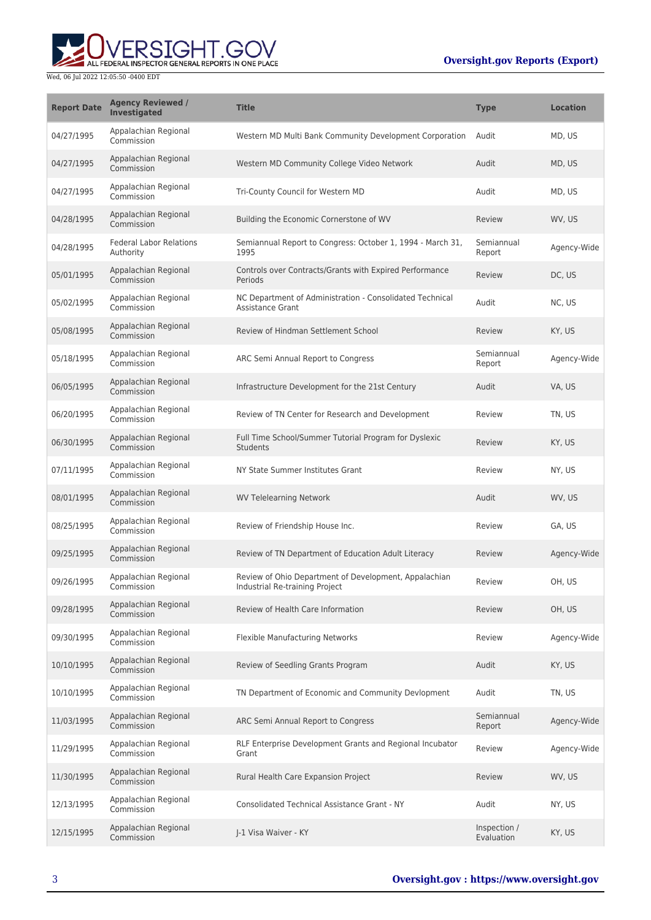# **Oversight.gov Reports (Export)**



| <b>Report Date</b> | <b>Agency Reviewed /</b><br>Investigated    | <b>Title</b>                                                                            | <b>Type</b>                | <b>Location</b> |
|--------------------|---------------------------------------------|-----------------------------------------------------------------------------------------|----------------------------|-----------------|
| 04/27/1995         | Appalachian Regional<br>Commission          | Western MD Multi Bank Community Development Corporation                                 | Audit                      | MD, US          |
| 04/27/1995         | Appalachian Regional<br>Commission          | Western MD Community College Video Network                                              | Audit                      | MD, US          |
| 04/27/1995         | Appalachian Regional<br>Commission          | Tri-County Council for Western MD                                                       | Audit                      | MD, US          |
| 04/28/1995         | Appalachian Regional<br>Commission          | Building the Economic Cornerstone of WV                                                 | Review                     | WV, US          |
| 04/28/1995         | <b>Federal Labor Relations</b><br>Authority | Semiannual Report to Congress: October 1, 1994 - March 31,<br>1995                      | Semiannual<br>Report       | Agency-Wide     |
| 05/01/1995         | Appalachian Regional<br>Commission          | Controls over Contracts/Grants with Expired Performance<br>Periods                      | Review                     | DC, US          |
| 05/02/1995         | Appalachian Regional<br>Commission          | NC Department of Administration - Consolidated Technical<br><b>Assistance Grant</b>     | Audit                      | NC, US          |
| 05/08/1995         | Appalachian Regional<br>Commission          | Review of Hindman Settlement School                                                     | Review                     | KY, US          |
| 05/18/1995         | Appalachian Regional<br>Commission          | ARC Semi Annual Report to Congress                                                      | Semiannual<br>Report       | Agency-Wide     |
| 06/05/1995         | Appalachian Regional<br>Commission          | Infrastructure Development for the 21st Century                                         | Audit                      | VA, US          |
| 06/20/1995         | Appalachian Regional<br>Commission          | Review of TN Center for Research and Development                                        | Review                     | TN. US          |
| 06/30/1995         | Appalachian Regional<br>Commission          | Full Time School/Summer Tutorial Program for Dyslexic<br><b>Students</b>                | Review                     | KY, US          |
| 07/11/1995         | Appalachian Regional<br>Commission          | NY State Summer Institutes Grant                                                        | Review                     | NY, US          |
| 08/01/1995         | Appalachian Regional<br>Commission          | <b>WV Telelearning Network</b>                                                          | Audit                      | WV, US          |
| 08/25/1995         | Appalachian Regional<br>Commission          | Review of Friendship House Inc.                                                         | Review                     | GA, US          |
| 09/25/1995         | Appalachian Regional<br>Commission          | Review of TN Department of Education Adult Literacy                                     | Review                     | Agency-Wide     |
| 09/26/1995         | Appalachian Regional<br>Commission          | Review of Ohio Department of Development, Appalachian<br>Industrial Re-training Project | Review                     | OH, US          |
| 09/28/1995         | Appalachian Regional<br>Commission          | Review of Health Care Information                                                       | Review                     | OH, US          |
| 09/30/1995         | Appalachian Regional<br>Commission          | <b>Flexible Manufacturing Networks</b>                                                  | Review                     | Agency-Wide     |
| 10/10/1995         | Appalachian Regional<br>Commission          | Review of Seedling Grants Program                                                       | Audit                      | KY, US          |
| 10/10/1995         | Appalachian Regional<br>Commission          | TN Department of Economic and Community Devlopment                                      | Audit                      | TN, US          |
| 11/03/1995         | Appalachian Regional<br>Commission          | ARC Semi Annual Report to Congress                                                      | Semiannual<br>Report       | Agency-Wide     |
| 11/29/1995         | Appalachian Regional<br>Commission          | RLF Enterprise Development Grants and Regional Incubator<br>Grant                       | Review                     | Agency-Wide     |
| 11/30/1995         | Appalachian Regional<br>Commission          | Rural Health Care Expansion Project                                                     | Review                     | WV, US          |
| 12/13/1995         | Appalachian Regional<br>Commission          | <b>Consolidated Technical Assistance Grant - NY</b>                                     | Audit                      | NY, US          |
| 12/15/1995         | Appalachian Regional<br>Commission          | J-1 Visa Waiver - KY                                                                    | Inspection /<br>Evaluation | KY, US          |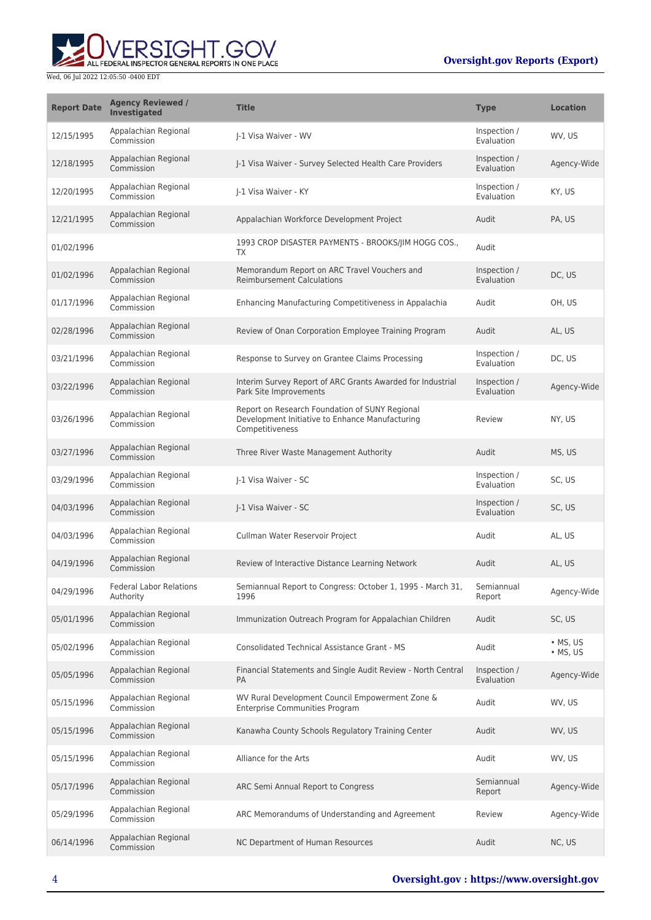

| <b>Report Date</b> | <b>Agency Reviewed /</b><br><b>Investigated</b> | <b>Title</b>                                                                                                         | <b>Type</b>                | <b>Location</b>                  |
|--------------------|-------------------------------------------------|----------------------------------------------------------------------------------------------------------------------|----------------------------|----------------------------------|
| 12/15/1995         | Appalachian Regional<br>Commission              | I-1 Visa Waiver - WV                                                                                                 | Inspection /<br>Evaluation | WV, US                           |
| 12/18/1995         | Appalachian Regional<br>Commission              | J-1 Visa Waiver - Survey Selected Health Care Providers                                                              | Inspection /<br>Evaluation | Agency-Wide                      |
| 12/20/1995         | Appalachian Regional<br>Commission              | I-1 Visa Waiver - KY                                                                                                 | Inspection /<br>Evaluation | KY, US                           |
| 12/21/1995         | Appalachian Regional<br>Commission              | Appalachian Workforce Development Project                                                                            | Audit                      | PA, US                           |
| 01/02/1996         |                                                 | 1993 CROP DISASTER PAYMENTS - BROOKS/JIM HOGG COS.,<br>TX                                                            | Audit                      |                                  |
| 01/02/1996         | Appalachian Regional<br>Commission              | Memorandum Report on ARC Travel Vouchers and<br><b>Reimbursement Calculations</b>                                    | Inspection /<br>Evaluation | DC, US                           |
| 01/17/1996         | Appalachian Regional<br>Commission              | Enhancing Manufacturing Competitiveness in Appalachia                                                                | Audit                      | OH, US                           |
| 02/28/1996         | Appalachian Regional<br>Commission              | Review of Onan Corporation Employee Training Program                                                                 | Audit                      | AL, US                           |
| 03/21/1996         | Appalachian Regional<br>Commission              | Response to Survey on Grantee Claims Processing                                                                      | Inspection /<br>Evaluation | DC, US                           |
| 03/22/1996         | Appalachian Regional<br>Commission              | Interim Survey Report of ARC Grants Awarded for Industrial<br>Park Site Improvements                                 | Inspection /<br>Evaluation | Agency-Wide                      |
| 03/26/1996         | Appalachian Regional<br>Commission              | Report on Research Foundation of SUNY Regional<br>Development Initiative to Enhance Manufacturing<br>Competitiveness | Review                     | NY, US                           |
| 03/27/1996         | Appalachian Regional<br>Commission              | Three River Waste Management Authority                                                                               | Audit                      | MS, US                           |
| 03/29/1996         | Appalachian Regional<br>Commission              | I-1 Visa Waiver - SC                                                                                                 | Inspection /<br>Evaluation | SC, US                           |
| 04/03/1996         | Appalachian Regional<br>Commission              | J-1 Visa Waiver - SC                                                                                                 | Inspection /<br>Evaluation | SC, US                           |
| 04/03/1996         | Appalachian Regional<br>Commission              | Cullman Water Reservoir Project                                                                                      | Audit                      | AL, US                           |
| 04/19/1996         | Appalachian Regional<br>Commission              | Review of Interactive Distance Learning Network                                                                      | Audit                      | AL, US                           |
| 04/29/1996         | <b>Federal Labor Relations</b><br>Authority     | Semiannual Report to Congress: October 1, 1995 - March 31,<br>1996                                                   | Semiannual<br>Report       | Agency-Wide                      |
| 05/01/1996         | Appalachian Regional<br>Commission              | Immunization Outreach Program for Appalachian Children                                                               | Audit                      | SC, US                           |
| 05/02/1996         | Appalachian Regional<br>Commission              | <b>Consolidated Technical Assistance Grant - MS</b>                                                                  | Audit                      | $\cdot$ MS, US<br>$\cdot$ MS, US |
| 05/05/1996         | Appalachian Regional<br>Commission              | Financial Statements and Single Audit Review - North Central<br>PA                                                   | Inspection /<br>Evaluation | Agency-Wide                      |
| 05/15/1996         | Appalachian Regional<br>Commission              | WV Rural Development Council Empowerment Zone &<br><b>Enterprise Communities Program</b>                             | Audit                      | WV, US                           |
| 05/15/1996         | Appalachian Regional<br>Commission              | Kanawha County Schools Regulatory Training Center                                                                    | Audit                      | WV, US                           |
| 05/15/1996         | Appalachian Regional<br>Commission              | Alliance for the Arts                                                                                                | Audit                      | WV, US                           |
| 05/17/1996         | Appalachian Regional<br>Commission              | ARC Semi Annual Report to Congress                                                                                   | Semiannual<br>Report       | Agency-Wide                      |
| 05/29/1996         | Appalachian Regional<br>Commission              | ARC Memorandums of Understanding and Agreement                                                                       | Review                     | Agency-Wide                      |
| 06/14/1996         | Appalachian Regional<br>Commission              | NC Department of Human Resources                                                                                     | Audit                      | NC, US                           |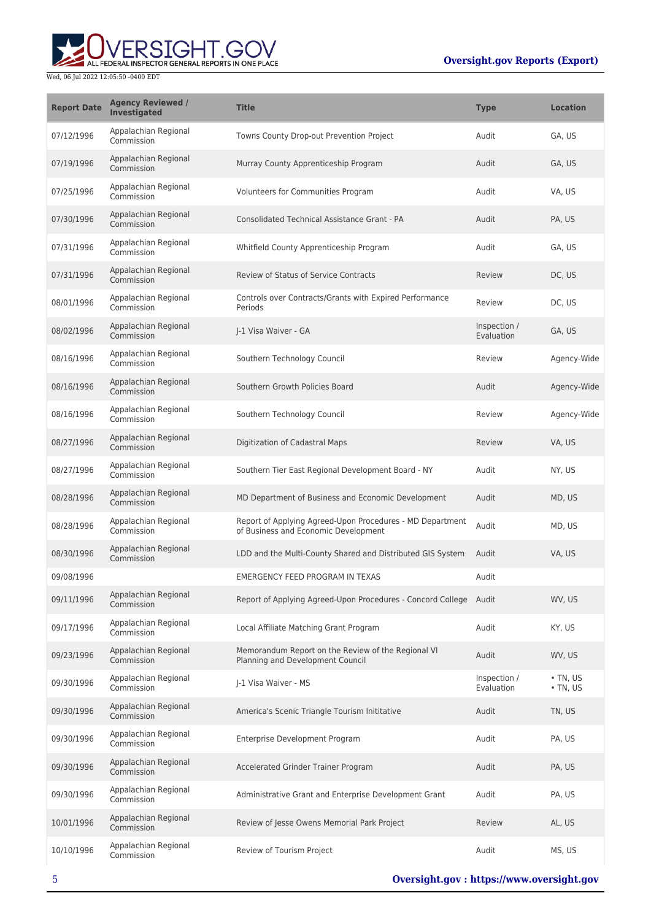

| <b>Report Date</b> | <b>Agency Reviewed /</b><br>Investigated | <b>Title</b>                                                                                      | <b>Type</b>                | <b>Location</b>                  |
|--------------------|------------------------------------------|---------------------------------------------------------------------------------------------------|----------------------------|----------------------------------|
| 07/12/1996         | Appalachian Regional<br>Commission       | Towns County Drop-out Prevention Project                                                          | Audit                      | GA, US                           |
| 07/19/1996         | Appalachian Regional<br>Commission       | Murray County Apprenticeship Program                                                              | Audit                      | GA, US                           |
| 07/25/1996         | Appalachian Regional<br>Commission       | Volunteers for Communities Program                                                                | Audit                      | VA, US                           |
| 07/30/1996         | Appalachian Regional<br>Commission       | Consolidated Technical Assistance Grant - PA                                                      | Audit                      | PA, US                           |
| 07/31/1996         | Appalachian Regional<br>Commission       | Whitfield County Apprenticeship Program                                                           | Audit                      | GA, US                           |
| 07/31/1996         | Appalachian Regional<br>Commission       | <b>Review of Status of Service Contracts</b>                                                      | Review                     | DC, US                           |
| 08/01/1996         | Appalachian Regional<br>Commission       | Controls over Contracts/Grants with Expired Performance<br>Periods                                | Review                     | DC, US                           |
| 08/02/1996         | Appalachian Regional<br>Commission       | I-1 Visa Waiver - GA                                                                              | Inspection /<br>Evaluation | GA, US                           |
| 08/16/1996         | Appalachian Regional<br>Commission       | Southern Technology Council                                                                       | Review                     | Agency-Wide                      |
| 08/16/1996         | Appalachian Regional<br>Commission       | Southern Growth Policies Board                                                                    | Audit                      | Agency-Wide                      |
| 08/16/1996         | Appalachian Regional<br>Commission       | Southern Technology Council                                                                       | Review                     | Agency-Wide                      |
| 08/27/1996         | Appalachian Regional<br>Commission       | Digitization of Cadastral Maps                                                                    | Review                     | VA, US                           |
| 08/27/1996         | Appalachian Regional<br>Commission       | Southern Tier East Regional Development Board - NY                                                | Audit                      | NY, US                           |
| 08/28/1996         | Appalachian Regional<br>Commission       | MD Department of Business and Economic Development                                                | Audit                      | MD, US                           |
| 08/28/1996         | Appalachian Regional<br>Commission       | Report of Applying Agreed-Upon Procedures - MD Department<br>of Business and Economic Development | Audit                      | MD, US                           |
| 08/30/1996         | Appalachian Regional<br>Commission       | LDD and the Multi-County Shared and Distributed GIS System                                        | Audit                      | VA, US                           |
| 09/08/1996         |                                          | EMERGENCY FEED PROGRAM IN TEXAS                                                                   | Audit                      |                                  |
| 09/11/1996         | Appalachian Regional<br>Commission       | Report of Applying Agreed-Upon Procedures - Concord College Audit                                 |                            | WV. US                           |
| 09/17/1996         | Appalachian Regional<br>Commission       | Local Affiliate Matching Grant Program                                                            | Audit                      | KY, US                           |
| 09/23/1996         | Appalachian Regional<br>Commission       | Memorandum Report on the Review of the Regional VI<br>Planning and Development Council            | Audit                      | WV, US                           |
| 09/30/1996         | Appalachian Regional<br>Commission       | I-1 Visa Waiver - MS                                                                              | Inspection /<br>Evaluation | $\cdot$ TN, US<br>$\cdot$ TN, US |
| 09/30/1996         | Appalachian Regional<br>Commission       | America's Scenic Triangle Tourism Inititative                                                     | Audit                      | TN, US                           |
| 09/30/1996         | Appalachian Regional<br>Commission       | Enterprise Development Program                                                                    | Audit                      | PA, US                           |
| 09/30/1996         | Appalachian Regional<br>Commission       | Accelerated Grinder Trainer Program                                                               | Audit                      | PA, US                           |
| 09/30/1996         | Appalachian Regional<br>Commission       | Administrative Grant and Enterprise Development Grant                                             | Audit                      | PA, US                           |
| 10/01/1996         | Appalachian Regional<br>Commission       | Review of Jesse Owens Memorial Park Project                                                       | Review                     | AL, US                           |
| 10/10/1996         | Appalachian Regional<br>Commission       | Review of Tourism Project                                                                         | Audit                      | MS, US                           |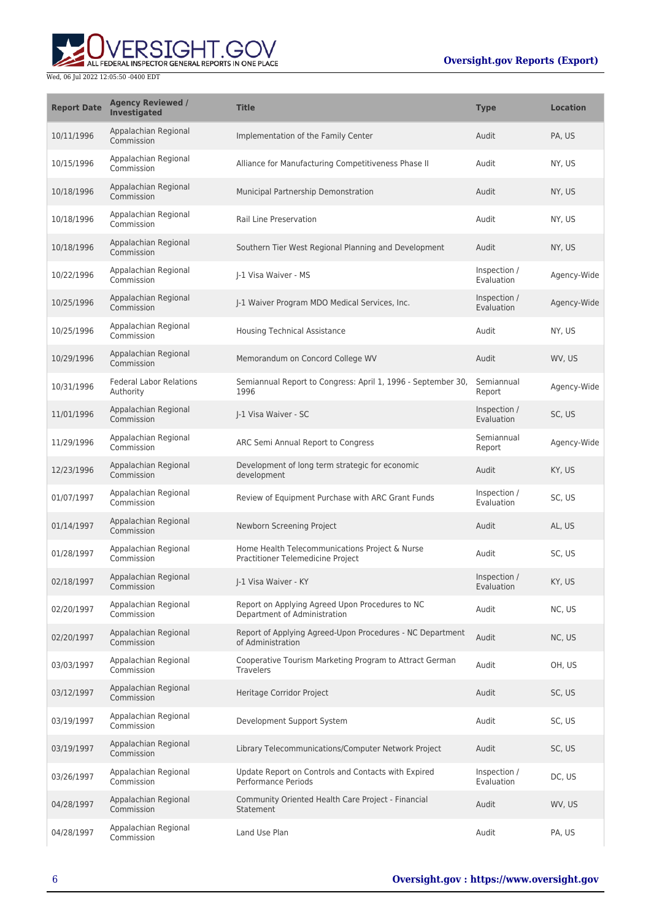

| <b>Report Date</b> | <b>Agency Reviewed /</b><br><b>Investigated</b> | <b>Title</b>                                                                        | <b>Type</b>                | <b>Location</b> |
|--------------------|-------------------------------------------------|-------------------------------------------------------------------------------------|----------------------------|-----------------|
| 10/11/1996         | Appalachian Regional<br>Commission              | Implementation of the Family Center                                                 | Audit                      | PA, US          |
| 10/15/1996         | Appalachian Regional<br>Commission              | Alliance for Manufacturing Competitiveness Phase II                                 | Audit                      | NY, US          |
| 10/18/1996         | Appalachian Regional<br>Commission              | Municipal Partnership Demonstration                                                 | Audit                      | NY, US          |
| 10/18/1996         | Appalachian Regional<br>Commission              | <b>Rail Line Preservation</b>                                                       | Audit                      | NY, US          |
| 10/18/1996         | Appalachian Regional<br>Commission              | Southern Tier West Regional Planning and Development                                | Audit                      | NY, US          |
| 10/22/1996         | Appalachian Regional<br>Commission              | J-1 Visa Waiver - MS                                                                | Inspection /<br>Evaluation | Agency-Wide     |
| 10/25/1996         | Appalachian Regional<br>Commission              | J-1 Waiver Program MDO Medical Services, Inc.                                       | Inspection /<br>Evaluation | Agency-Wide     |
| 10/25/1996         | Appalachian Regional<br>Commission              | <b>Housing Technical Assistance</b>                                                 | Audit                      | NY, US          |
| 10/29/1996         | Appalachian Regional<br>Commission              | Memorandum on Concord College WV                                                    | Audit                      | WV, US          |
| 10/31/1996         | <b>Federal Labor Relations</b><br>Authority     | Semiannual Report to Congress: April 1, 1996 - September 30,<br>1996                | Semiannual<br>Report       | Agency-Wide     |
| 11/01/1996         | Appalachian Regional<br>Commission              | J-1 Visa Waiver - SC                                                                | Inspection /<br>Evaluation | SC, US          |
| 11/29/1996         | Appalachian Regional<br>Commission              | ARC Semi Annual Report to Congress                                                  | Semiannual<br>Report       | Agency-Wide     |
| 12/23/1996         | Appalachian Regional<br>Commission              | Development of long term strategic for economic<br>development                      | Audit                      | KY, US          |
| 01/07/1997         | Appalachian Regional<br>Commission              | Review of Equipment Purchase with ARC Grant Funds                                   | Inspection /<br>Evaluation | SC, US          |
| 01/14/1997         | Appalachian Regional<br>Commission              | Newborn Screening Project                                                           | Audit                      | AL, US          |
| 01/28/1997         | Appalachian Regional<br>Commission              | Home Health Telecommunications Project & Nurse<br>Practitioner Telemedicine Project | Audit                      | SC, US          |
| 02/18/1997         | Appalachian Regional<br>Commission              | I-1 Visa Waiver - KY                                                                | Inspection /<br>Evaluation | KY, US          |
| 02/20/1997         | Appalachian Regional<br>Commission              | Report on Applying Agreed Upon Procedures to NC<br>Department of Administration     | Audit                      | NC, US          |
| 02/20/1997         | Appalachian Regional<br>Commission              | Report of Applying Agreed-Upon Procedures - NC Department<br>of Administration      | Audit                      | NC, US          |
| 03/03/1997         | Appalachian Regional<br>Commission              | Cooperative Tourism Marketing Program to Attract German<br><b>Travelers</b>         | Audit                      | OH, US          |
| 03/12/1997         | Appalachian Regional<br>Commission              | Heritage Corridor Project                                                           | Audit                      | SC, US          |
| 03/19/1997         | Appalachian Regional<br>Commission              | Development Support System                                                          | Audit                      | SC, US          |
| 03/19/1997         | Appalachian Regional<br>Commission              | Library Telecommunications/Computer Network Project                                 | Audit                      | SC, US          |
| 03/26/1997         | Appalachian Regional<br>Commission              | Update Report on Controls and Contacts with Expired<br>Performance Periods          | Inspection /<br>Evaluation | DC, US          |
| 04/28/1997         | Appalachian Regional<br>Commission              | Community Oriented Health Care Project - Financial<br>Statement                     | Audit                      | WV, US          |
| 04/28/1997         | Appalachian Regional<br>Commission              | Land Use Plan                                                                       | Audit                      | PA, US          |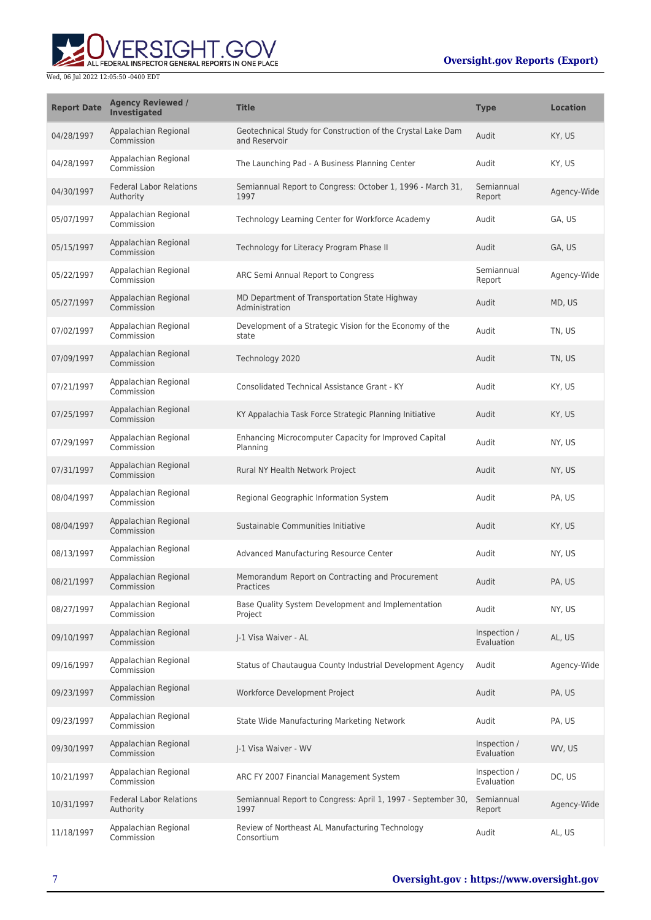# ALL FEDERAL INSPECTOR GENERAL REPORTS IN ONE PLACE Wed, 06 Jul 2022 12:05:50 -0400 EDT

| <b>Report Date</b> | <b>Agency Reviewed /</b><br><b>Investigated</b> | <b>Title</b>                                                                 | <b>Type</b>                | <b>Location</b> |
|--------------------|-------------------------------------------------|------------------------------------------------------------------------------|----------------------------|-----------------|
| 04/28/1997         | Appalachian Regional<br>Commission              | Geotechnical Study for Construction of the Crystal Lake Dam<br>and Reservoir | Audit                      | KY, US          |
| 04/28/1997         | Appalachian Regional<br>Commission              | The Launching Pad - A Business Planning Center                               | Audit                      | KY, US          |
| 04/30/1997         | <b>Federal Labor Relations</b><br>Authority     | Semiannual Report to Congress: October 1, 1996 - March 31,<br>1997           | Semiannual<br>Report       | Agency-Wide     |
| 05/07/1997         | Appalachian Regional<br>Commission              | Technology Learning Center for Workforce Academy                             | Audit                      | GA, US          |
| 05/15/1997         | Appalachian Regional<br>Commission              | Technology for Literacy Program Phase II                                     | Audit                      | GA, US          |
| 05/22/1997         | Appalachian Regional<br>Commission              | ARC Semi Annual Report to Congress                                           | Semiannual<br>Report       | Agency-Wide     |
| 05/27/1997         | Appalachian Regional<br>Commission              | MD Department of Transportation State Highway<br>Administration              | Audit                      | MD, US          |
| 07/02/1997         | Appalachian Regional<br>Commission              | Development of a Strategic Vision for the Economy of the<br>state            | Audit                      | TN, US          |
| 07/09/1997         | Appalachian Regional<br>Commission              | Technology 2020                                                              | Audit                      | TN, US          |
| 07/21/1997         | Appalachian Regional<br>Commission              | Consolidated Technical Assistance Grant - KY                                 | Audit                      | KY, US          |
| 07/25/1997         | Appalachian Regional<br>Commission              | KY Appalachia Task Force Strategic Planning Initiative                       | Audit                      | KY, US          |
| 07/29/1997         | Appalachian Regional<br>Commission              | Enhancing Microcomputer Capacity for Improved Capital<br>Planning            | Audit                      | NY, US          |
| 07/31/1997         | Appalachian Regional<br>Commission              | Rural NY Health Network Project                                              | Audit                      | NY, US          |
| 08/04/1997         | Appalachian Regional<br>Commission              | Regional Geographic Information System                                       | Audit                      | PA, US          |
| 08/04/1997         | Appalachian Regional<br>Commission              | Sustainable Communities Initiative                                           | Audit                      | KY, US          |
| 08/13/1997         | Appalachian Regional<br>Commission              | Advanced Manufacturing Resource Center                                       | Audit                      | NY, US          |
| 08/21/1997         | Appalachian Regional<br>Commission              | Memorandum Report on Contracting and Procurement<br>Practices                | Audit                      | PA, US          |
| 08/27/1997         | Appalachian Regional<br>Commission              | Base Quality System Development and Implementation<br>Project                | Audit                      | NY, US          |
| 09/10/1997         | Appalachian Regional<br>Commission              | I-1 Visa Waiver - AL                                                         | Inspection /<br>Evaluation | AL, US          |
| 09/16/1997         | Appalachian Regional<br>Commission              | Status of Chautaugua County Industrial Development Agency                    | Audit                      | Agency-Wide     |
| 09/23/1997         | Appalachian Regional<br>Commission              | Workforce Development Project                                                | Audit                      | PA, US          |
| 09/23/1997         | Appalachian Regional<br>Commission              | State Wide Manufacturing Marketing Network                                   | Audit                      | PA, US          |
| 09/30/1997         | Appalachian Regional<br>Commission              | J-1 Visa Waiver - WV                                                         | Inspection /<br>Evaluation | WV, US          |
| 10/21/1997         | Appalachian Regional<br>Commission              | ARC FY 2007 Financial Management System                                      | Inspection /<br>Evaluation | DC, US          |
| 10/31/1997         | <b>Federal Labor Relations</b><br>Authority     | Semiannual Report to Congress: April 1, 1997 - September 30,<br>1997         | Semiannual<br>Report       | Agency-Wide     |
| 11/18/1997         | Appalachian Regional<br>Commission              | Review of Northeast AL Manufacturing Technology<br>Consortium                | Audit                      | AL, US          |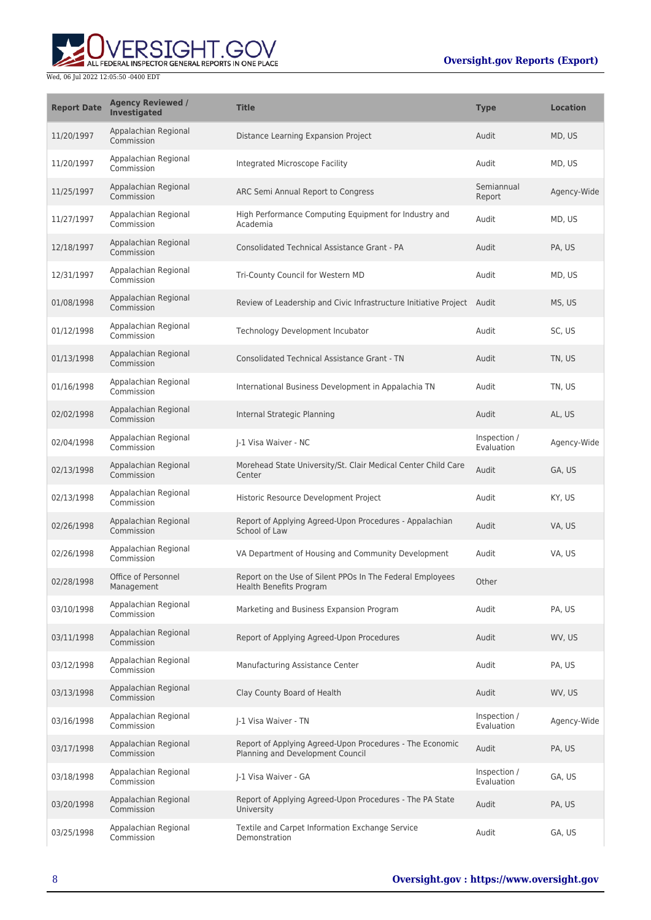

| <b>Report Date</b> | <b>Agency Reviewed /</b><br><b>Investigated</b> | <b>Title</b>                                                                                 | <b>Type</b>                | <b>Location</b> |
|--------------------|-------------------------------------------------|----------------------------------------------------------------------------------------------|----------------------------|-----------------|
| 11/20/1997         | Appalachian Regional<br>Commission              | Distance Learning Expansion Project                                                          | Audit                      | MD, US          |
| 11/20/1997         | Appalachian Regional<br>Commission              | Integrated Microscope Facility                                                               | Audit                      | MD, US          |
| 11/25/1997         | Appalachian Regional<br>Commission              | ARC Semi Annual Report to Congress                                                           | Semiannual<br>Report       | Agency-Wide     |
| 11/27/1997         | Appalachian Regional<br>Commission              | High Performance Computing Equipment for Industry and<br>Academia                            | Audit                      | MD, US          |
| 12/18/1997         | Appalachian Regional<br>Commission              | Consolidated Technical Assistance Grant - PA                                                 | Audit                      | PA, US          |
| 12/31/1997         | Appalachian Regional<br>Commission              | Tri-County Council for Western MD                                                            | Audit                      | MD, US          |
| 01/08/1998         | Appalachian Regional<br>Commission              | Review of Leadership and Civic Infrastructure Initiative Project Audit                       |                            | MS, US          |
| 01/12/1998         | Appalachian Regional<br>Commission              | Technology Development Incubator                                                             | Audit                      | SC, US          |
| 01/13/1998         | Appalachian Regional<br>Commission              | <b>Consolidated Technical Assistance Grant - TN</b>                                          | Audit                      | TN, US          |
| 01/16/1998         | Appalachian Regional<br>Commission              | International Business Development in Appalachia TN                                          | Audit                      | TN, US          |
| 02/02/1998         | Appalachian Regional<br>Commission              | Internal Strategic Planning                                                                  | Audit                      | AL, US          |
| 02/04/1998         | Appalachian Regional<br>Commission              | J-1 Visa Waiver - NC                                                                         | Inspection /<br>Evaluation | Agency-Wide     |
| 02/13/1998         | Appalachian Regional<br>Commission              | Morehead State University/St. Clair Medical Center Child Care<br>Center                      | Audit                      | GA, US          |
| 02/13/1998         | Appalachian Regional<br>Commission              | Historic Resource Development Project                                                        | Audit                      | KY, US          |
| 02/26/1998         | Appalachian Regional<br>Commission              | Report of Applying Agreed-Upon Procedures - Appalachian<br>School of Law                     | Audit                      | VA, US          |
| 02/26/1998         | Appalachian Regional<br>Commission              | VA Department of Housing and Community Development                                           | Audit                      | VA, US          |
| 02/28/1998         | Office of Personnel<br>Management               | Report on the Use of Silent PPOs In The Federal Employees<br>Health Benefits Program         | Other                      |                 |
| 03/10/1998         | Appalachian Regional<br>Commission              | Marketing and Business Expansion Program                                                     | Audit                      | PA. US          |
| 03/11/1998         | Appalachian Regional<br>Commission              | Report of Applying Agreed-Upon Procedures                                                    | Audit                      | WV, US          |
| 03/12/1998         | Appalachian Regional<br>Commission              | Manufacturing Assistance Center                                                              | Audit                      | PA, US          |
| 03/13/1998         | Appalachian Regional<br>Commission              | Clay County Board of Health                                                                  | Audit                      | WV, US          |
| 03/16/1998         | Appalachian Regional<br>Commission              | J-1 Visa Waiver - TN                                                                         | Inspection /<br>Evaluation | Agency-Wide     |
| 03/17/1998         | Appalachian Regional<br>Commission              | Report of Applying Agreed-Upon Procedures - The Economic<br>Planning and Development Council | Audit                      | PA, US          |
| 03/18/1998         | Appalachian Regional<br>Commission              | J-1 Visa Waiver - GA                                                                         | Inspection /<br>Evaluation | GA, US          |
| 03/20/1998         | Appalachian Regional<br>Commission              | Report of Applying Agreed-Upon Procedures - The PA State<br>University                       | Audit                      | PA, US          |
| 03/25/1998         | Appalachian Regional<br>Commission              | Textile and Carpet Information Exchange Service<br>Demonstration                             | Audit                      | GA, US          |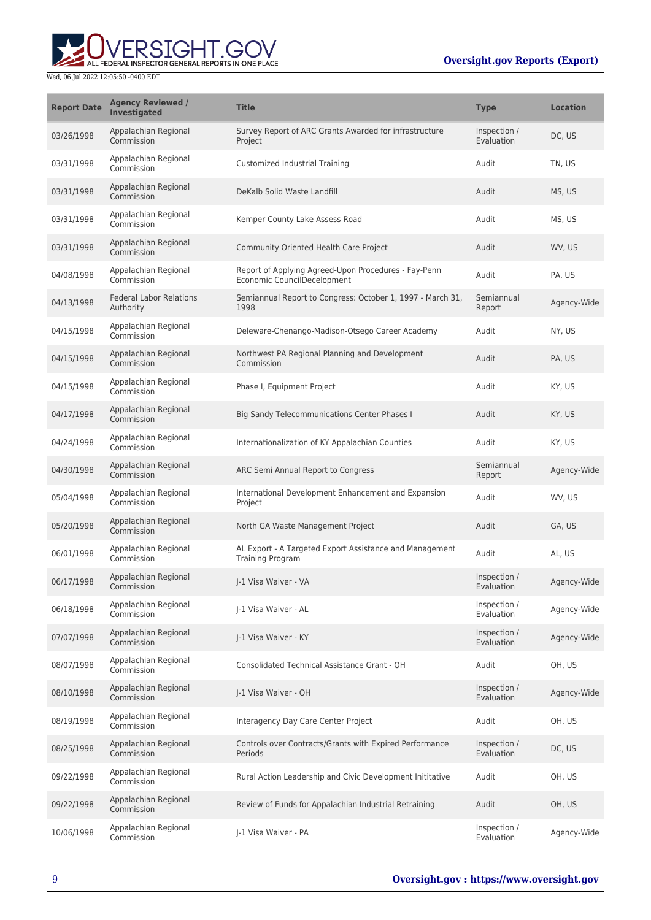

| <b>Report Date</b> | <b>Agency Reviewed /</b><br><b>Investigated</b> | <b>Title</b>                                                                        | <b>Type</b>                | <b>Location</b> |
|--------------------|-------------------------------------------------|-------------------------------------------------------------------------------------|----------------------------|-----------------|
| 03/26/1998         | Appalachian Regional<br>Commission              | Survey Report of ARC Grants Awarded for infrastructure<br>Project                   | Inspection /<br>Evaluation | DC, US          |
| 03/31/1998         | Appalachian Regional<br>Commission              | Customized Industrial Training                                                      | Audit                      | TN, US          |
| 03/31/1998         | Appalachian Regional<br>Commission              | DeKalb Solid Waste Landfill                                                         | Audit                      | MS, US          |
| 03/31/1998         | Appalachian Regional<br>Commission              | Kemper County Lake Assess Road                                                      | Audit                      | MS, US          |
| 03/31/1998         | Appalachian Regional<br>Commission              | Community Oriented Health Care Project                                              | Audit                      | WV, US          |
| 04/08/1998         | Appalachian Regional<br>Commission              | Report of Applying Agreed-Upon Procedures - Fay-Penn<br>Economic CouncilDecelopment | Audit                      | PA, US          |
| 04/13/1998         | <b>Federal Labor Relations</b><br>Authority     | Semiannual Report to Congress: October 1, 1997 - March 31,<br>1998                  | Semiannual<br>Report       | Agency-Wide     |
| 04/15/1998         | Appalachian Regional<br>Commission              | Deleware-Chenango-Madison-Otsego Career Academy                                     | Audit                      | NY, US          |
| 04/15/1998         | Appalachian Regional<br>Commission              | Northwest PA Regional Planning and Development<br>Commission                        | Audit                      | PA, US          |
| 04/15/1998         | Appalachian Regional<br>Commission              | Phase I, Equipment Project                                                          | Audit                      | KY, US          |
| 04/17/1998         | Appalachian Regional<br>Commission              | <b>Big Sandy Telecommunications Center Phases I</b>                                 | Audit                      | KY, US          |
| 04/24/1998         | Appalachian Regional<br>Commission              | Internationalization of KY Appalachian Counties                                     | Audit                      | KY, US          |
| 04/30/1998         | Appalachian Regional<br>Commission              | ARC Semi Annual Report to Congress                                                  | Semiannual<br>Report       | Agency-Wide     |
| 05/04/1998         | Appalachian Regional<br>Commission              | International Development Enhancement and Expansion<br>Project                      | Audit                      | WV, US          |
| 05/20/1998         | Appalachian Regional<br>Commission              | North GA Waste Management Project                                                   | Audit                      | GA, US          |
| 06/01/1998         | Appalachian Regional<br>Commission              | AL Export - A Targeted Export Assistance and Management<br><b>Training Program</b>  | Audit                      | AL, US          |
| 06/17/1998         | Appalachian Regional<br>Commission              | I-1 Visa Waiver - VA                                                                | Inspection /<br>Evaluation | Agency-Wide     |
| 06/18/1998         | Appalachian Regional<br>Commission              | J-1 Visa Waiver - AL                                                                | Inspection /<br>Evaluation | Agency-Wide     |
| 07/07/1998         | Appalachian Regional<br>Commission              | J-1 Visa Waiver - KY                                                                | Inspection /<br>Evaluation | Agency-Wide     |
| 08/07/1998         | Appalachian Regional<br>Commission              | Consolidated Technical Assistance Grant - OH                                        | Audit                      | OH, US          |
| 08/10/1998         | Appalachian Regional<br>Commission              | J-1 Visa Waiver - OH                                                                | Inspection /<br>Evaluation | Agency-Wide     |
| 08/19/1998         | Appalachian Regional<br>Commission              | Interagency Day Care Center Project                                                 | Audit                      | OH, US          |
| 08/25/1998         | Appalachian Regional<br>Commission              | Controls over Contracts/Grants with Expired Performance<br>Periods                  | Inspection /<br>Evaluation | DC, US          |
| 09/22/1998         | Appalachian Regional<br>Commission              | Rural Action Leadership and Civic Development Inititative                           | Audit                      | OH, US          |
| 09/22/1998         | Appalachian Regional<br>Commission              | Review of Funds for Appalachian Industrial Retraining                               | Audit                      | OH, US          |
| 10/06/1998         | Appalachian Regional<br>Commission              | J-1 Visa Waiver - PA                                                                | Inspection /<br>Evaluation | Agency-Wide     |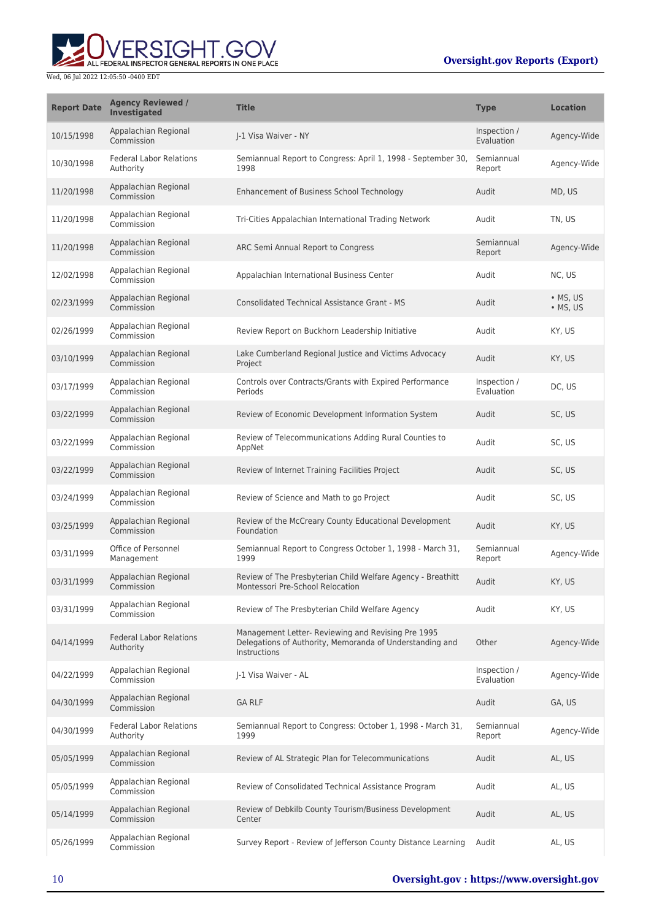# **WERSIGHT.GOV**

#### Wed, 06 Jul 2022 12:05:50 -0400 EDT

### **Oversight.gov Reports (Export)**

| <b>Report Date</b> | <b>Agency Reviewed /</b><br><b>Investigated</b> | <b>Title</b>                                                                                                                          | <b>Type</b>                | <b>Location</b>      |
|--------------------|-------------------------------------------------|---------------------------------------------------------------------------------------------------------------------------------------|----------------------------|----------------------|
| 10/15/1998         | Appalachian Regional<br>Commission              | I-1 Visa Waiver - NY                                                                                                                  | Inspection /<br>Evaluation | Agency-Wide          |
| 10/30/1998         | <b>Federal Labor Relations</b><br>Authority     | Semiannual Report to Congress: April 1, 1998 - September 30,<br>1998                                                                  | Semiannual<br>Report       | Agency-Wide          |
| 11/20/1998         | Appalachian Regional<br>Commission              | <b>Enhancement of Business School Technology</b>                                                                                      | Audit                      | MD, US               |
| 11/20/1998         | Appalachian Regional<br>Commission              | Tri-Cities Appalachian International Trading Network                                                                                  | Audit                      | TN, US               |
| 11/20/1998         | Appalachian Regional<br>Commission              | ARC Semi Annual Report to Congress                                                                                                    | Semiannual<br>Report       | Agency-Wide          |
| 12/02/1998         | Appalachian Regional<br>Commission              | Appalachian International Business Center                                                                                             | Audit                      | NC, US               |
| 02/23/1999         | Appalachian Regional<br>Commission              | <b>Consolidated Technical Assistance Grant - MS</b>                                                                                   | Audit                      | • MS, US<br>• MS, US |
| 02/26/1999         | Appalachian Regional<br>Commission              | Review Report on Buckhorn Leadership Initiative                                                                                       | Audit                      | KY, US               |
| 03/10/1999         | Appalachian Regional<br>Commission              | Lake Cumberland Regional Justice and Victims Advocacy<br>Project                                                                      | Audit                      | KY, US               |
| 03/17/1999         | Appalachian Regional<br>Commission              | Controls over Contracts/Grants with Expired Performance<br>Periods                                                                    | Inspection /<br>Evaluation | DC, US               |
| 03/22/1999         | Appalachian Regional<br>Commission              | Review of Economic Development Information System                                                                                     | Audit                      | SC, US               |
| 03/22/1999         | Appalachian Regional<br>Commission              | Review of Telecommunications Adding Rural Counties to<br>AppNet                                                                       | Audit                      | SC, US               |
| 03/22/1999         | Appalachian Regional<br>Commission              | Review of Internet Training Facilities Project                                                                                        | Audit                      | SC, US               |
| 03/24/1999         | Appalachian Regional<br>Commission              | Review of Science and Math to go Project                                                                                              | Audit                      | SC, US               |
| 03/25/1999         | Appalachian Regional<br>Commission              | Review of the McCreary County Educational Development<br>Foundation                                                                   | Audit                      | KY, US               |
| 03/31/1999         | Office of Personnel<br>Management               | Semiannual Report to Congress October 1, 1998 - March 31,<br>1999                                                                     | Semiannual<br>Report       | Agency-Wide          |
| 03/31/1999         | Appalachian Regional<br>Commission              | Review of The Presbyterian Child Welfare Agency - Breathitt<br>Montessori Pre-School Relocation                                       | Audit                      | KY, US               |
| 03/31/1999         | Appalachian Regional<br>Commission              | Review of The Presbyterian Child Welfare Agency                                                                                       | Audit                      | KY, US               |
| 04/14/1999         | <b>Federal Labor Relations</b><br>Authority     | Management Letter- Reviewing and Revising Pre 1995<br>Delegations of Authority, Memoranda of Understanding and<br><b>Instructions</b> | Other                      | Agency-Wide          |
| 04/22/1999         | Appalachian Regional<br>Commission              | J-1 Visa Waiver - AL                                                                                                                  | Inspection /<br>Evaluation | Agency-Wide          |
| 04/30/1999         | Appalachian Regional<br>Commission              | <b>GA RLF</b>                                                                                                                         | Audit                      | GA, US               |
| 04/30/1999         | <b>Federal Labor Relations</b><br>Authority     | Semiannual Report to Congress: October 1, 1998 - March 31,<br>1999                                                                    | Semiannual<br>Report       | Agency-Wide          |
| 05/05/1999         | Appalachian Regional<br>Commission              | Review of AL Strategic Plan for Telecommunications                                                                                    | Audit                      | AL, US               |
| 05/05/1999         | Appalachian Regional<br>Commission              | Review of Consolidated Technical Assistance Program                                                                                   | Audit                      | AL, US               |
| 05/14/1999         | Appalachian Regional<br>Commission              | Review of Debkilb County Tourism/Business Development<br>Center                                                                       | Audit                      | AL, US               |
| 05/26/1999         | Appalachian Regional<br>Commission              | Survey Report - Review of Jefferson County Distance Learning                                                                          | Audit                      | AL, US               |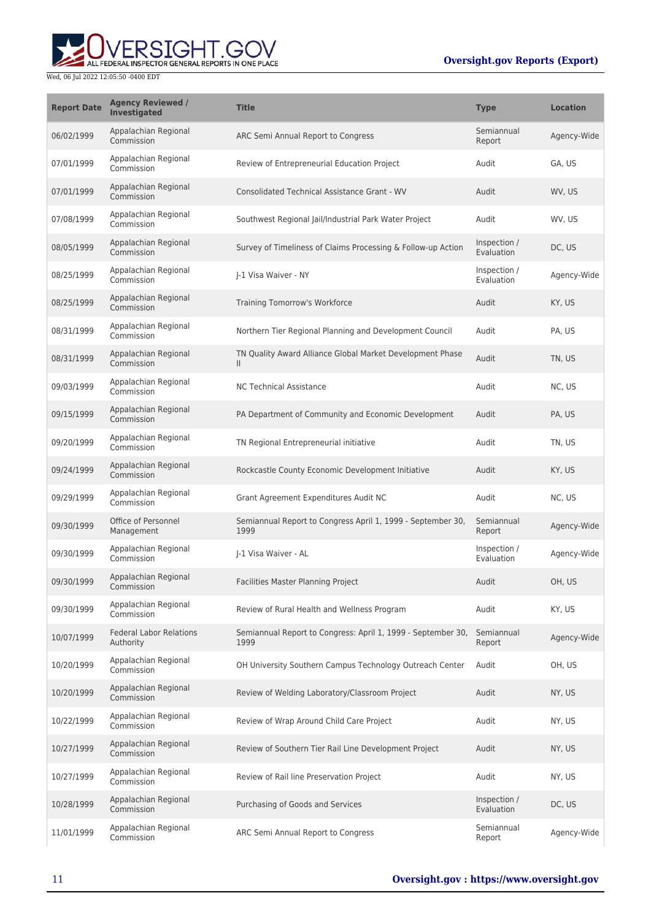

| <b>Report Date</b> | <b>Agency Reviewed /</b><br>Investigated    | <b>Title</b>                                                              | <b>Type</b>                | <b>Location</b> |
|--------------------|---------------------------------------------|---------------------------------------------------------------------------|----------------------------|-----------------|
| 06/02/1999         | Appalachian Regional<br>Commission          | ARC Semi Annual Report to Congress                                        | Semiannual<br>Report       | Agency-Wide     |
| 07/01/1999         | Appalachian Regional<br>Commission          | Review of Entrepreneurial Education Project                               | Audit                      | GA. US          |
| 07/01/1999         | Appalachian Regional<br>Commission          | Consolidated Technical Assistance Grant - WV                              | Audit                      | WV, US          |
| 07/08/1999         | Appalachian Regional<br>Commission          | Southwest Regional Jail/Industrial Park Water Project                     | Audit                      | WV. US          |
| 08/05/1999         | Appalachian Regional<br>Commission          | Survey of Timeliness of Claims Processing & Follow-up Action              | Inspection /<br>Evaluation | DC, US          |
| 08/25/1999         | Appalachian Regional<br>Commission          | I-1 Visa Waiver - NY                                                      | Inspection /<br>Evaluation | Agency-Wide     |
| 08/25/1999         | Appalachian Regional<br>Commission          | Training Tomorrow's Workforce                                             | Audit                      | KY, US          |
| 08/31/1999         | Appalachian Regional<br>Commission          | Northern Tier Regional Planning and Development Council                   | Audit                      | PA, US          |
| 08/31/1999         | Appalachian Regional<br>Commission          | TN Quality Award Alliance Global Market Development Phase<br>$\mathbf{H}$ | Audit                      | TN, US          |
| 09/03/1999         | Appalachian Regional<br>Commission          | <b>NC Technical Assistance</b>                                            | Audit                      | NC, US          |
| 09/15/1999         | Appalachian Regional<br>Commission          | PA Department of Community and Economic Development                       | Audit                      | PA, US          |
| 09/20/1999         | Appalachian Regional<br>Commission          | TN Regional Entrepreneurial initiative                                    | Audit                      | TN, US          |
| 09/24/1999         | Appalachian Regional<br>Commission          | Rockcastle County Economic Development Initiative                         | Audit                      | KY, US          |
| 09/29/1999         | Appalachian Regional<br>Commission          | Grant Agreement Expenditures Audit NC                                     | Audit                      | NC, US          |
| 09/30/1999         | Office of Personnel<br>Management           | Semiannual Report to Congress April 1, 1999 - September 30,<br>1999       | Semiannual<br>Report       | Agency-Wide     |
| 09/30/1999         | Appalachian Regional<br>Commission          | I-1 Visa Waiver - AL                                                      | Inspection /<br>Evaluation | Agency-Wide     |
| 09/30/1999         | Appalachian Regional<br>Commission          | Facilities Master Planning Project                                        | Audit                      | OH, US          |
| 09/30/1999         | Appalachian Regional<br>Commission          | Review of Rural Health and Wellness Program                               | Audit                      | KY, US          |
| 10/07/1999         | <b>Federal Labor Relations</b><br>Authority | Semiannual Report to Congress: April 1, 1999 - September 30,<br>1999      | Semiannual<br>Report       | Agency-Wide     |
| 10/20/1999         | Appalachian Regional<br>Commission          | OH University Southern Campus Technology Outreach Center                  | Audit                      | OH, US          |
| 10/20/1999         | Appalachian Regional<br>Commission          | Review of Welding Laboratory/Classroom Project                            | Audit                      | NY, US          |
| 10/22/1999         | Appalachian Regional<br>Commission          | Review of Wrap Around Child Care Project                                  | Audit                      | NY, US          |
| 10/27/1999         | Appalachian Regional<br>Commission          | Review of Southern Tier Rail Line Development Project                     | Audit                      | NY, US          |
| 10/27/1999         | Appalachian Regional<br>Commission          | Review of Rail line Preservation Project                                  | Audit                      | NY, US          |
| 10/28/1999         | Appalachian Regional<br>Commission          | Purchasing of Goods and Services                                          | Inspection /<br>Evaluation | DC, US          |
| 11/01/1999         | Appalachian Regional<br>Commission          | ARC Semi Annual Report to Congress                                        | Semiannual<br>Report       | Agency-Wide     |